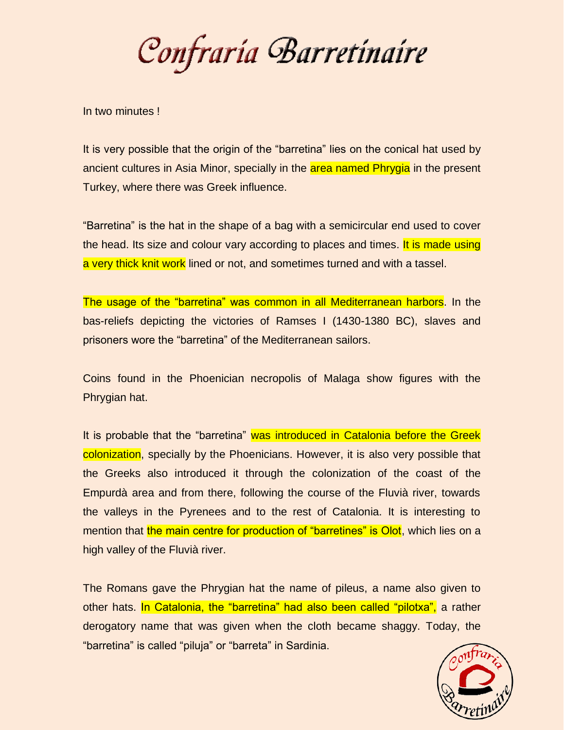Confraría Barretínaire

In two minutes !

It is very possible that the origin of the "barretina" lies on the conical hat used by ancient cultures in Asia Minor, specially in the area named Phrygia in the present Turkey, where there was Greek influence.

"Barretina" is the hat in the shape of a bag with a semicircular end used to cover the head. Its size and colour vary according to places and times. It is made using a very thick knit work lined or not, and sometimes turned and with a tassel.

The usage of the "barretina" was common in all Mediterranean harbors. In the bas-reliefs depicting the victories of Ramses I (1430-1380 BC), slaves and prisoners wore the "barretina" of the Mediterranean sailors.

Coins found in the Phoenician necropolis of Malaga show figures with the Phrygian hat.

It is probable that the "barretina" was introduced in Catalonia before the Greek colonization, specially by the Phoenicians. However, it is also very possible that the Greeks also introduced it through the colonization of the coast of the Empurdà area and from there, following the course of the Fluvià river, towards the valleys in the Pyrenees and to the rest of Catalonia. It is interesting to mention that the main centre for production of "barretines" is Olot, which lies on a high valley of the Fluvià river.

The Romans gave the Phrygian hat the name of pileus, a name also given to other hats. In Catalonia, the "barretina" had also been called "pilotxa", a rather derogatory name that was given when the cloth became shaggy. Today, the "barretina" is called "piluja" or "barreta" in Sardinia.

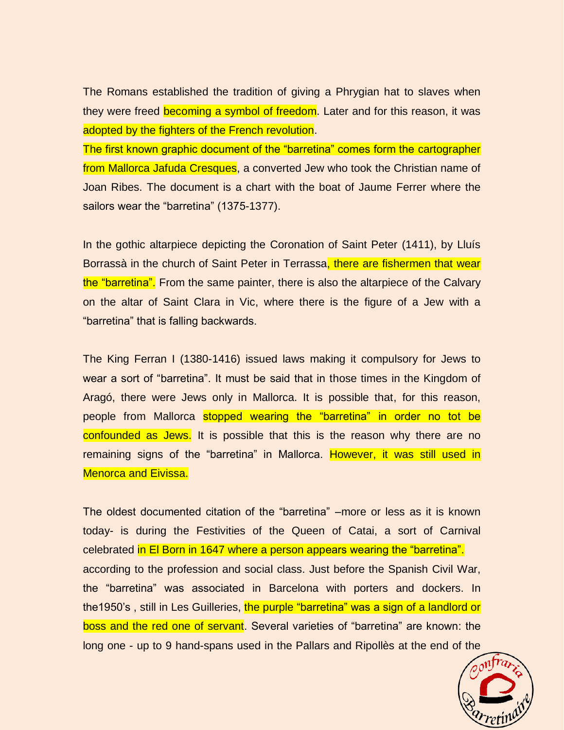The Romans established the tradition of giving a Phrygian hat to slaves when they were freed becoming a symbol of freedom. Later and for this reason, it was adopted by the fighters of the French revolution.

The first known graphic document of the "barretina" comes form the cartographer from Mallorca Jafuda Cresques, a converted Jew who took the Christian name of Joan Ribes. The document is a chart with the boat of Jaume Ferrer where the sailors wear the "barretina" (1375-1377).

In the gothic altarpiece depicting the Coronation of Saint Peter (1411), by Lluís Borrassà in the church of Saint Peter in Terrassa, there are fishermen that wear the "barretina". From the same painter, there is also the altarpiece of the Calvary on the altar of Saint Clara in Vic, where there is the figure of a Jew with a "barretina" that is falling backwards.

The King Ferran I (1380-1416) issued laws making it compulsory for Jews to wear a sort of "barretina". It must be said that in those times in the Kingdom of Aragó, there were Jews only in Mallorca. It is possible that, for this reason, people from Mallorca stopped wearing the "barretina" in order no tot be confounded as Jews. It is possible that this is the reason why there are no remaining signs of the "barretina" in Mallorca. However, it was still used in Menorca and Eivissa.

The oldest documented citation of the "barretina" –more or less as it is known today- is during the Festivities of the Queen of Catai, a sort of Carnival celebrated in El Born in 1647 where a person appears wearing the "barretina". according to the profession and social class. Just before the Spanish Civil War, the "barretina" was associated in Barcelona with porters and dockers. In the1950's , still in Les Guilleries, the purple "barretina" was a sign of a landlord or boss and the red one of servant. Several varieties of "barretina" are known: the long one - up to 9 hand-spans used in the Pallars and Ripollès at the end of the

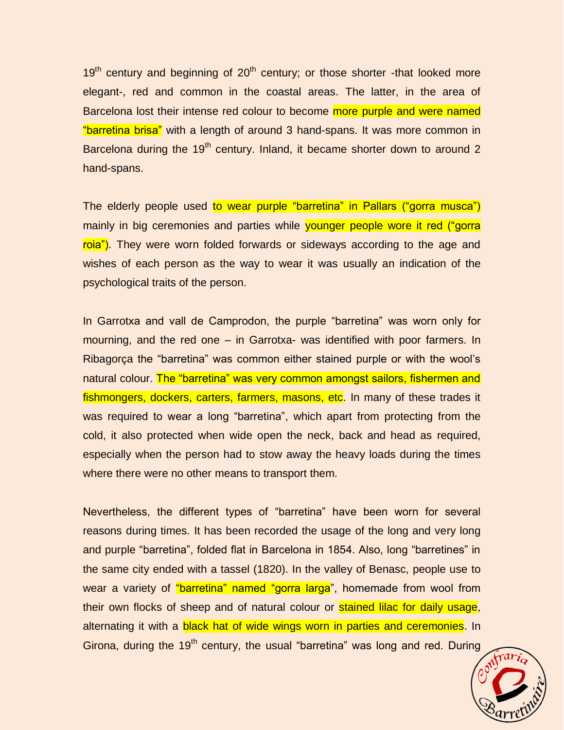$19<sup>th</sup>$  century and beginning of  $20<sup>th</sup>$  century; or those shorter -that looked more elegant-, red and common in the coastal areas. The latter, in the area of Barcelona lost their intense red colour to become more purple and were named "barretina brisa" with a length of around 3 hand-spans. It was more common in Barcelona during the 19<sup>th</sup> century. Inland, it became shorter down to around 2 hand-spans.

The elderly people used to wear purple "barretina" in Pallars ("gorra musca") mainly in big ceremonies and parties while vounger people wore it red ("gorra roia"). They were worn folded forwards or sideways according to the age and wishes of each person as the way to wear it was usually an indication of the psychological traits of the person.

In Garrotxa and vall de Camprodon, the purple "barretina" was worn only for mourning, and the red one – in Garrotxa- was identified with poor farmers. In Ribagorça the "barretina" was common either stained purple or with the wool's natural colour. The "barretina" was very common amongst sailors, fishermen and fishmongers, dockers, carters, farmers, masons, etc. In many of these trades it was required to wear a long "barretina", which apart from protecting from the cold, it also protected when wide open the neck, back and head as required, especially when the person had to stow away the heavy loads during the times where there were no other means to transport them.

Nevertheless, the different types of "barretina" have been worn for several reasons during times. It has been recorded the usage of the long and very long and purple "barretina", folded flat in Barcelona in 1854. Also, long "barretines" in the same city ended with a tassel (1820). In the valley of Benasc, people use to wear a variety of "barretina" named "gorra larga", homemade from wool from their own flocks of sheep and of natural colour or stained lilac for daily usage, alternating it with a **black hat of wide wings worn in parties and ceremonies**. In Girona, during the  $19<sup>th</sup>$  century, the usual "barretina" was long and red. During